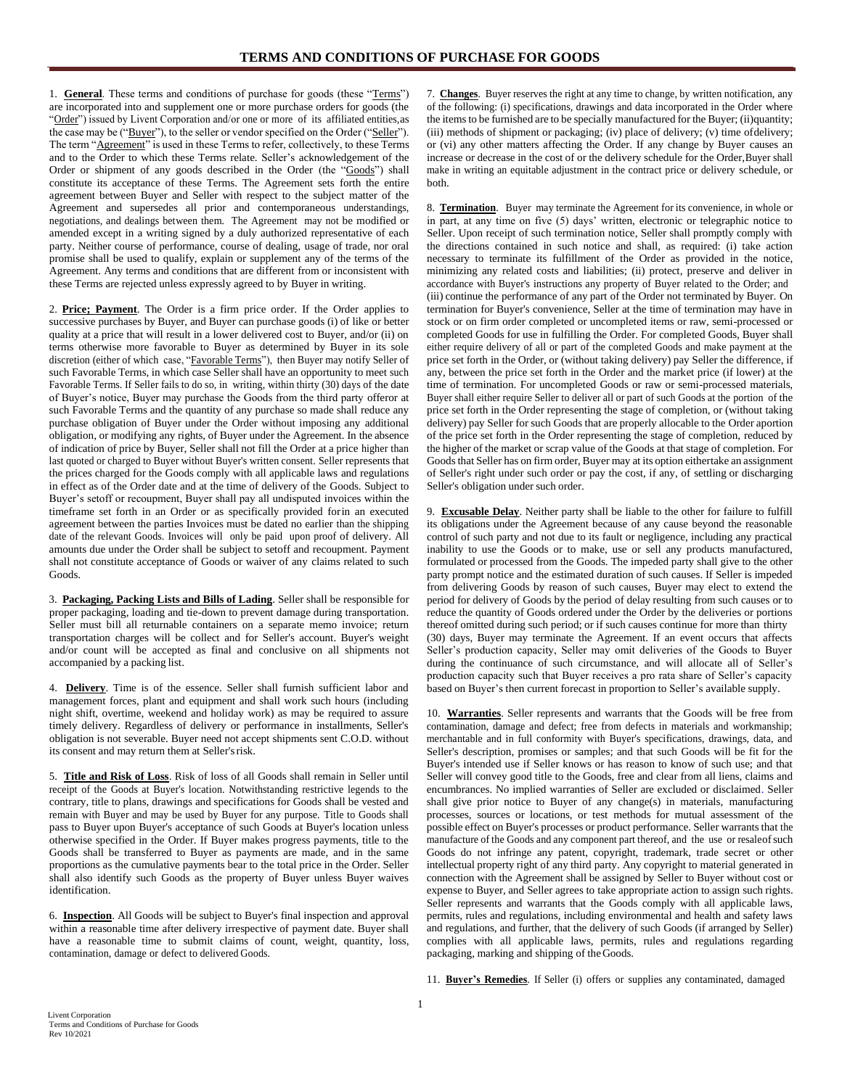1. **General**. These terms and conditions of purchase for goods (these "Terms") are incorporated into and supplement one or more purchase orders for goods (the "Order") issued by Livent Corporation and/or one or more of its affiliated entities, as the case may be ("Buyer"), to the seller or vendor specified on the Order ("Seller"). The term "Agreement" is used in these Terms to refer, collectively, to these Terms and to the Order to which these Terms relate. Seller's acknowledgement of the Order or shipment of any goods described in the Order (the "Goods") shall constitute its acceptance of these Terms. The Agreement sets forth the entire agreement between Buyer and Seller with respect to the subject matter of the Agreement and supersedes all prior and contemporaneous understandings, negotiations, and dealings between them. The Agreement may not be modified or amended except in a writing signed by a duly authorized representative of each party. Neither course of performance, course of dealing, usage of trade, nor oral promise shall be used to qualify, explain or supplement any of the terms of the Agreement. Any terms and conditions that are different from or inconsistent with these Terms are rejected unless expressly agreed to by Buyer in writing.

2. **Price; Payment**. The Order is a firm price order. If the Order applies to successive purchases by Buyer, and Buyer can purchase goods (i) of like or better quality at a price that will result in a lower delivered cost to Buyer, and/or (ii) on terms otherwise more favorable to Buyer as determined by Buyer in its sole discretion (either of which case, "Favorable Terms"), then Buyer may notify Seller of such Favorable Terms, in which case Seller shall have an opportunity to meet such Favorable Terms. If Seller fails to do so, in writing, within thirty (30) days of the date of Buyer's notice, Buyer may purchase the Goods from the third party offeror at such Favorable Terms and the quantity of any purchase so made shall reduce any purchase obligation of Buyer under the Order without imposing any additional obligation, or modifying any rights, of Buyer under the Agreement. In the absence of indication of price by Buyer, Seller shall not fill the Order at a price higher than last quoted or charged to Buyer without Buyer's written consent. Seller represents that the prices charged for the Goods comply with all applicable laws and regulations in effect as of the Order date and at the time of delivery of the Goods. Subject to Buyer's setoff or recoupment, Buyer shall pay all undisputed invoices within the timeframe set forth in an Order or as specifically provided forin an executed agreement between the parties Invoices must be dated no earlier than the shipping date of the relevant Goods. Invoices will only be paid upon proof of delivery. All amounts due under the Order shall be subject to setoff and recoupment. Payment shall not constitute acceptance of Goods or waiver of any claims related to such Goods.

3. **Packaging, Packing Lists and Bills of Lading**. Seller shall be responsible for proper packaging, loading and tie-down to prevent damage during transportation. Seller must bill all returnable containers on a separate memo invoice; return transportation charges will be collect and for Seller's account. Buyer's weight and/or count will be accepted as final and conclusive on all shipments not accompanied by a packing list.

4. **Delivery**. Time is of the essence. Seller shall furnish sufficient labor and management forces, plant and equipment and shall work such hours (including night shift, overtime, weekend and holiday work) as may be required to assure timely delivery. Regardless of delivery or performance in installments, Seller's obligation is not severable. Buyer need not accept shipments sent C.O.D. without its consent and may return them at Seller's risk.

5. **Title and Risk of Loss**. Risk of loss of all Goods shall remain in Seller until receipt of the Goods at Buyer's location. Notwithstanding restrictive legends to the contrary, title to plans, drawings and specifications for Goods shall be vested and remain with Buyer and may be used by Buyer for any purpose. Title to Goods shall pass to Buyer upon Buyer's acceptance of such Goods at Buyer's location unless otherwise specified in the Order. If Buyer makes progress payments, title to the Goods shall be transferred to Buyer as payments are made, and in the same proportions as the cumulative payments bear to the total price in the Order. Seller shall also identify such Goods as the property of Buyer unless Buyer waives identification.

6. **Inspection**. All Goods will be subject to Buyer's final inspection and approval within a reasonable time after delivery irrespective of payment date. Buyer shall have a reasonable time to submit claims of count, weight, quantity, loss, contamination, damage or defect to delivered Goods.

7. **Changes**. Buyer reserves the right at any time to change, by written notification, any of the following: (i) specifications, drawings and data incorporated in the Order where the items to be furnished are to be specially manufactured for the Buyer; (ii)quantity; (iii) methods of shipment or packaging; (iv) place of delivery; (v) time ofdelivery; or (vi) any other matters affecting the Order. If any change by Buyer causes an increase or decrease in the cost of or the delivery schedule for the Order,Buyer shall make in writing an equitable adjustment in the contract price or delivery schedule, or both.

8. **Termination**. Buyer may terminate the Agreement for its convenience, in whole or in part, at any time on five (5) days' written, electronic or telegraphic notice to Seller. Upon receipt of such termination notice, Seller shall promptly comply with the directions contained in such notice and shall, as required: (i) take action necessary to terminate its fulfillment of the Order as provided in the notice, minimizing any related costs and liabilities; (ii) protect, preserve and deliver in accordance with Buyer's instructions any property of Buyer related to the Order; and (iii) continue the performance of any part of the Order not terminated by Buyer. On termination for Buyer's convenience, Seller at the time of termination may have in stock or on firm order completed or uncompleted items or raw, semi-processed or completed Goods for use in fulfilling the Order. For completed Goods, Buyer shall either require delivery of all or part of the completed Goods and make payment at the price set forth in the Order, or (without taking delivery) pay Seller the difference, if any, between the price set forth in the Order and the market price (if lower) at the time of termination. For uncompleted Goods or raw or semi-processed materials, Buyer shall either require Seller to deliver all or part of such Goods at the portion of the price set forth in the Order representing the stage of completion, or (without taking delivery) pay Seller for such Goods that are properly allocable to the Order aportion of the price set forth in the Order representing the stage of completion, reduced by the higher of the market or scrap value of the Goods at that stage of completion. For Goods that Seller has on firm order, Buyer may at its option eithertake an assignment of Seller's right under such order or pay the cost, if any, of settling or discharging Seller's obligation under such order.

9. **Excusable Delay**. Neither party shall be liable to the other for failure to fulfill its obligations under the Agreement because of any cause beyond the reasonable control of such party and not due to its fault or negligence, including any practical inability to use the Goods or to make, use or sell any products manufactured, formulated or processed from the Goods. The impeded party shall give to the other party prompt notice and the estimated duration of such causes. If Seller is impeded from delivering Goods by reason of such causes, Buyer may elect to extend the period for delivery of Goods by the period of delay resulting from such causes or to reduce the quantity of Goods ordered under the Order by the deliveries or portions thereof omitted during such period; or if such causes continue for more than thirty (30) days, Buyer may terminate the Agreement. If an event occurs that affects Seller's production capacity, Seller may omit deliveries of the Goods to Buyer during the continuance of such circumstance, and will allocate all of Seller's production capacity such that Buyer receives a pro rata share of Seller's capacity based on Buyer's then current forecast in proportion to Seller's available supply.

10. **Warranties**. Seller represents and warrants that the Goods will be free from contamination, damage and defect; free from defects in materials and workmanship; merchantable and in full conformity with Buyer's specifications, drawings, data, and Seller's description, promises or samples; and that such Goods will be fit for the Buyer's intended use if Seller knows or has reason to know of such use; and that Seller will convey good title to the Goods, free and clear from all liens, claims and encumbrances. No implied warranties of Seller are excluded or disclaimed. Seller shall give prior notice to Buyer of any change(s) in materials, manufacturing processes, sources or locations, or test methods for mutual assessment of the possible effect on Buyer's processes or product performance. Seller warrants that the manufacture of the Goods and any component part thereof, and the use or resaleof such Goods do not infringe any patent, copyright, trademark, trade secret or other intellectual property right of any third party. Any copyright to material generated in connection with the Agreement shall be assigned by Seller to Buyer without cost or expense to Buyer, and Seller agrees to take appropriate action to assign such rights. Seller represents and warrants that the Goods comply with all applicable laws, permits, rules and regulations, including environmental and health and safety laws and regulations, and further, that the delivery of such Goods (if arranged by Seller) complies with all applicable laws, permits, rules and regulations regarding packaging, marking and shipping of theGoods.

11. **Buyer's Remedies**. If Seller (i) offers or supplies any contaminated, damaged